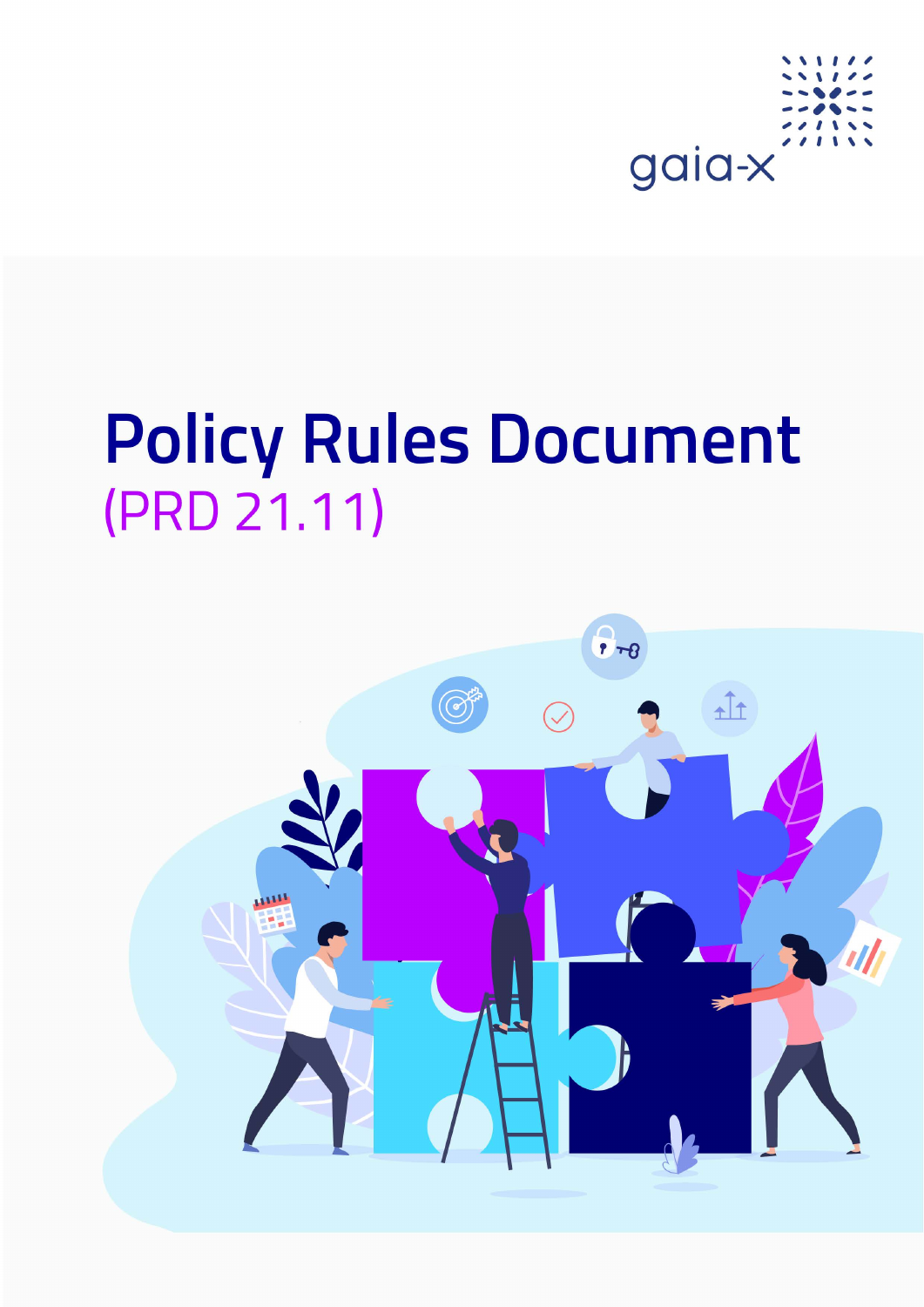

# **Policy Rules Document** (PRD 21.11)

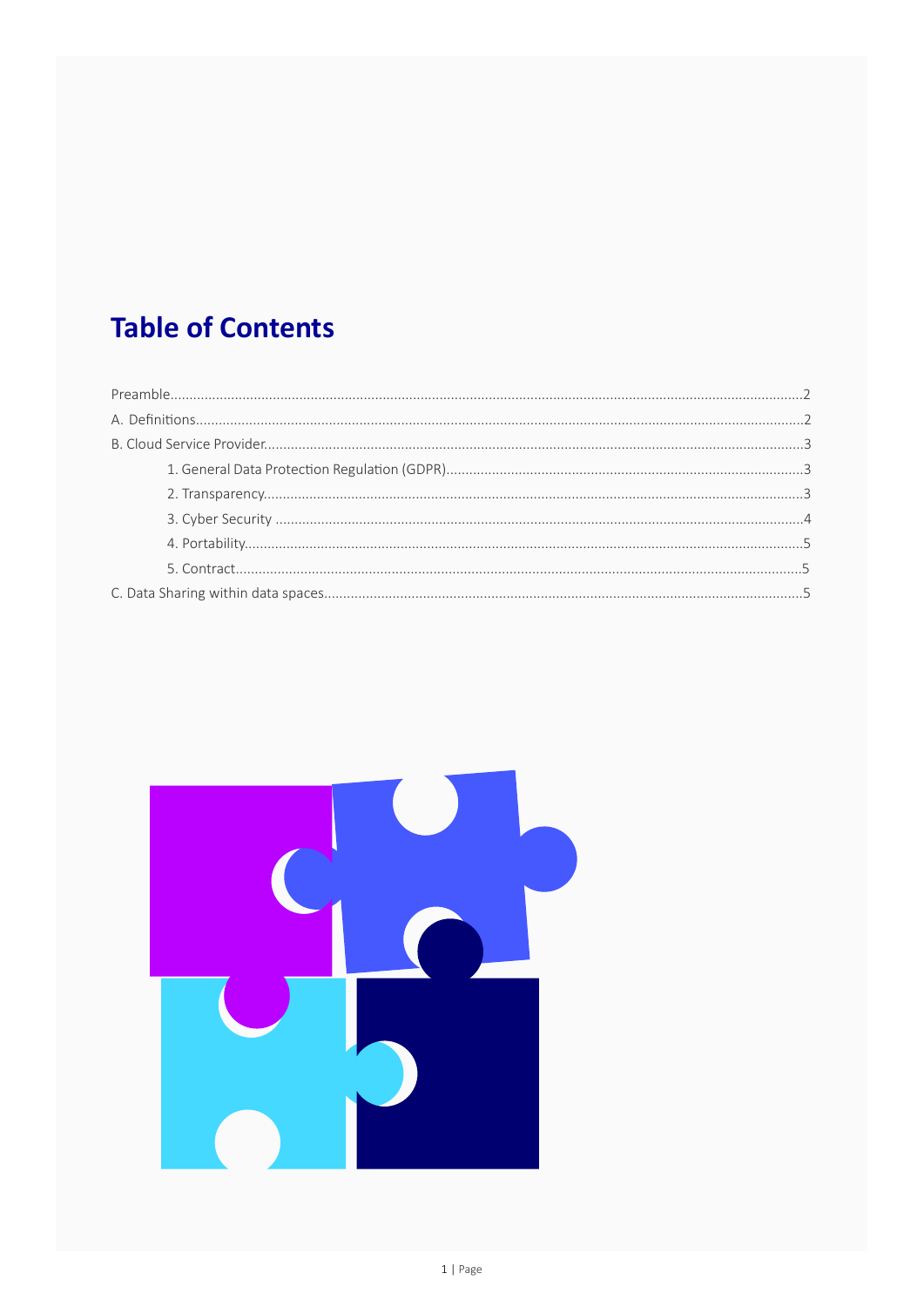# **Table of Contents**

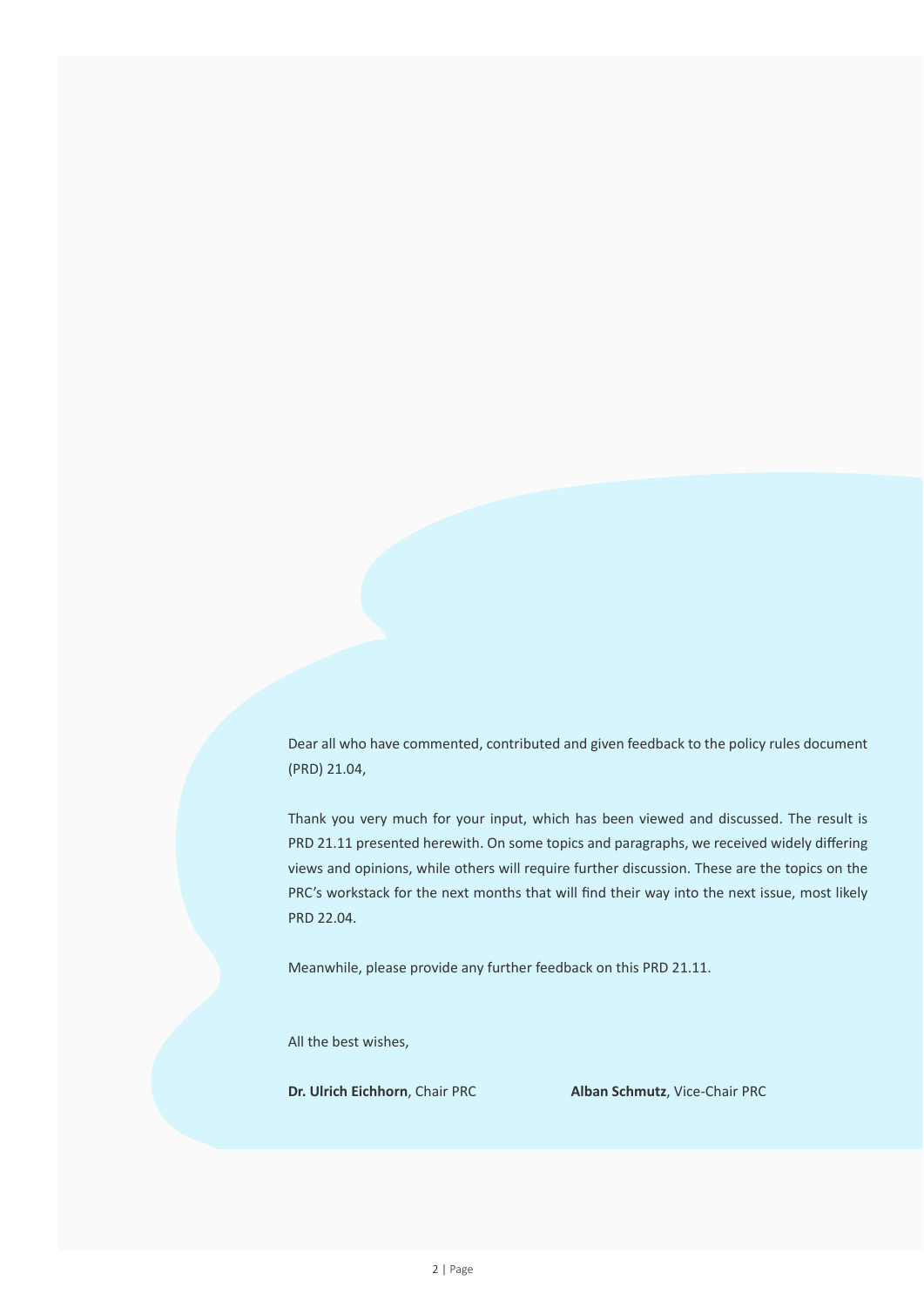Dear all who have commented, contributed and given feedback to the policy rules document (PRD) 21.04,

Thank you very much for your input, which has been viewed and discussed. The result is PRD 21.11 presented herewith. On some topics and paragraphs, we received widely differing views and opinions, while others will require further discussion. These are the topics on the PRC's workstack for the next months that will find their way into the next issue, most likely PRD 22.04.

Meanwhile, please provide any further feedback on this PRD 21.11.

All the best wishes,

**Dr. Ulrich Eichhorn**, Chair PRC **Alban Schmutz**, Vice-Chair PRC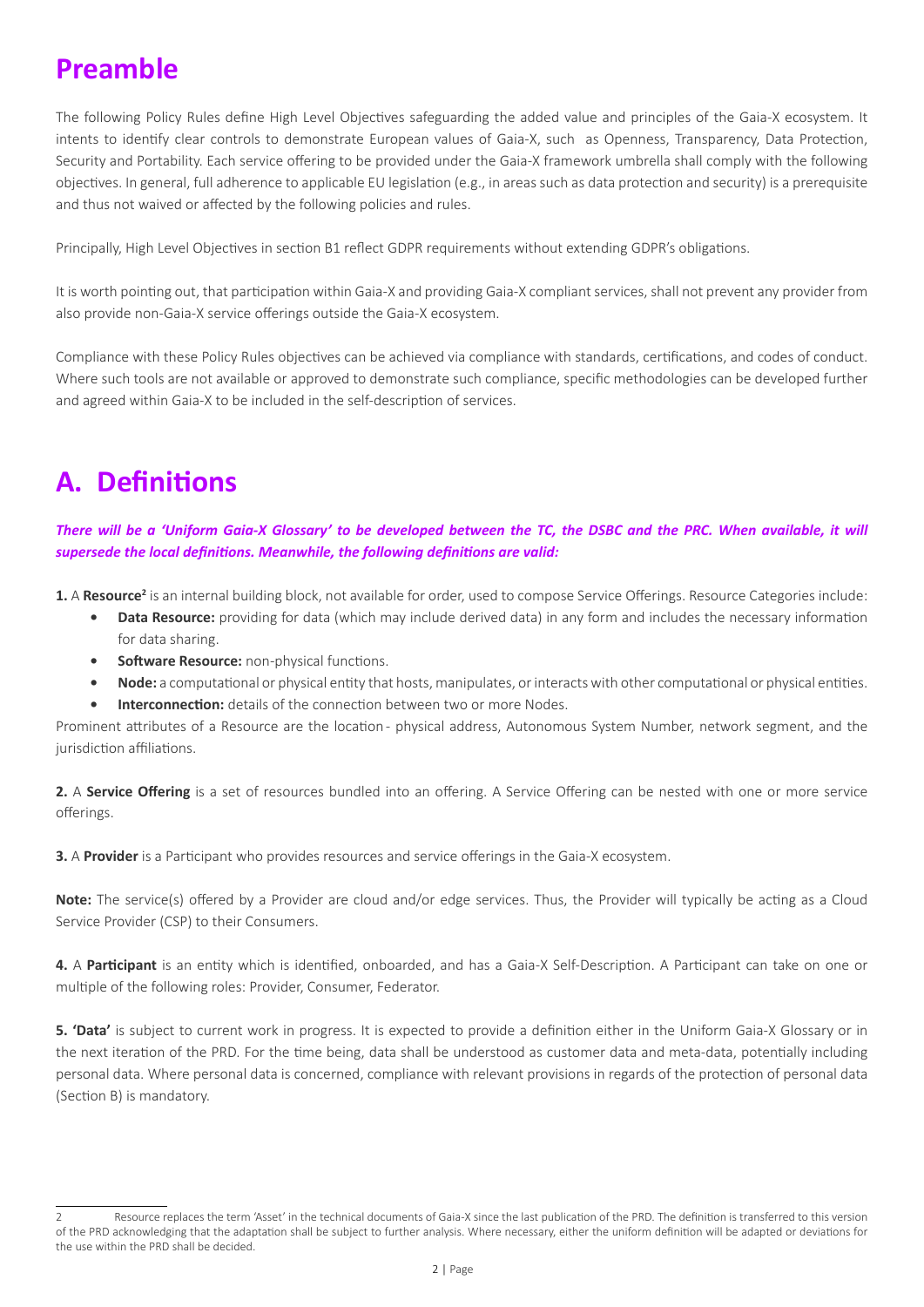# **Preamble**

The following Policy Rules define High Level Objectives safeguarding the added value and principles of the Gaia-X ecosystem. It intents to identify clear controls to demonstrate European values of Gaia-X, such as Openness, Transparency, Data Protection, Security and Portability. Each service offering to be provided under the Gaia-X framework umbrella shall comply with the following objectives. In general, full adherence to applicable EU legislation (e.g., in areas such as data protection and security) is a prerequisite and thus not waived or affected by the following policies and rules.

Principally, High Level Objectives in section B1 reflect GDPR requirements without extending GDPR's obligations.

It is worth pointing out, that participation within Gaia-X and providing Gaia-X compliant services, shall not prevent any provider from also provide non-Gaia-X service offerings outside the Gaia-X ecosystem.

Compliance with these Policy Rules objectives can be achieved via compliance with standards, certifications, and codes of conduct. Where such tools are not available or approved to demonstrate such compliance, specific methodologies can be developed further and agreed within Gaia-X to be included in the self-description of services.

# **A. Definitions**

*There will be a 'Uniform Gaia-X Glossary' to be developed between the TC, the DSBC and the PRC. When available, it will supersede the local definitions. Meanwhile, the following definitions are valid:*

1. A Resource<sup>2</sup> is an internal building block, not available for order, used to compose Service Offerings. Resource Categories include:

- **• Data Resource:** providing for data (which may include derived data) in any form and includes the necessary information for data sharing.
- **• Software Resource:** non-physical functions.
- **• Node:** a computational or physical entity that hosts, manipulates, or interacts with other computational or physical entities.
- **Interconnection:** details of the connection between two or more Nodes.

Prominent attributes of a Resource are the location - physical address, Autonomous System Number, network segment, and the jurisdiction affiliations.

**2.** A **Service Offering** is a set of resources bundled into an offering. A Service Offering can be nested with one or more service offerings.

**3.** A **Provider** is a Participant who provides resources and service offerings in the Gaia-X ecosystem.

**Note:** The service(s) offered by a Provider are cloud and/or edge services. Thus, the Provider will typically be acting as a Cloud Service Provider (CSP) to their Consumers.

**4.** A **Participant** is an entity which is identified, onboarded, and has a Gaia-X Self-Description. A Participant can take on one or multiple of the following roles: Provider, Consumer, Federator.

**5. 'Data'** is subject to current work in progress. It is expected to provide a definition either in the Uniform Gaia-X Glossary or in the next iteration of the PRD. For the time being, data shall be understood as customer data and meta-data, potentially including personal data. Where personal data is concerned, compliance with relevant provisions in regards of the protection of personal data (Section B) is mandatory.

<sup>2</sup> Resource replaces the term 'Asset' in the technical documents of Gaia-X since the last publication of the PRD. The definition is transferred to this version of the PRD acknowledging that the adaptation shall be subject to further analysis. Where necessary, either the uniform definition will be adapted or deviations for the use within the PRD shall be decided.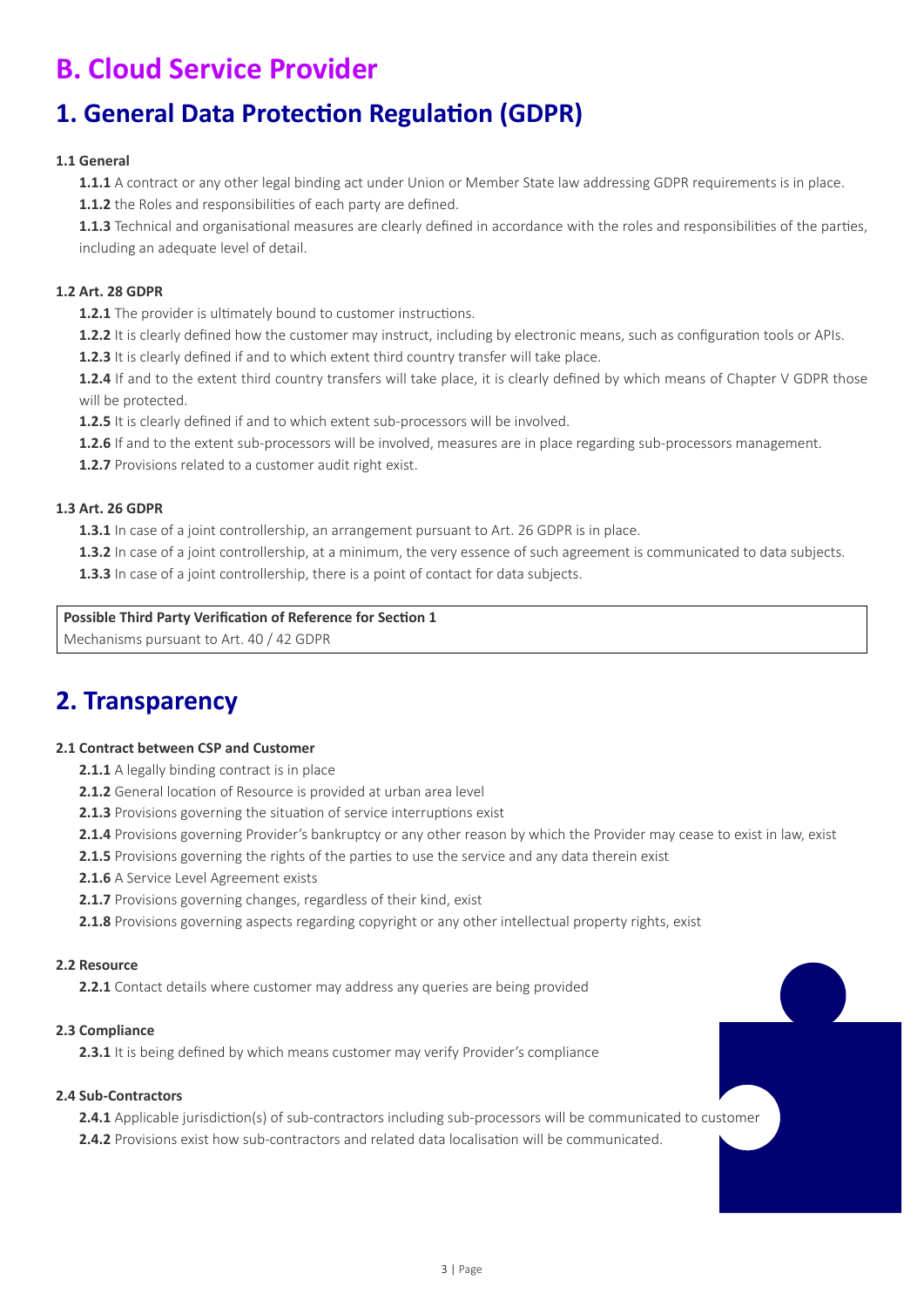# **B. Cloud Service Provider**

### **1. General Data Protection Regulation (GDPR)**

#### **1.1 General**

**1.1.1** A contract or any other legal binding act under Union or Member State law addressing GDPR requirements is in place. **1.1.2** the Roles and responsibilities of each party are defined.

**1.1.3** Technical and organisational measures are clearly defined in accordance with the roles and responsibilities of the parties, including an adequate level of detail.

#### **1.2 Art. 28 GDPR**

**1.2.1** The provider is ultimately bound to customer instructions.

**1.2.2** It is clearly defined how the customer may instruct, including by electronic means, such as configuration tools or APIs.

**1.2.3** It is clearly defined if and to which extent third country transfer will take place.

**1.2.4** If and to the extent third country transfers will take place, it is clearly defined by which means of Chapter V GDPR those will be protected.

**1.2.5** It is clearly defined if and to which extent sub-processors will be involved.

**1.2.6** If and to the extent sub-processors will be involved, measures are in place regarding sub-processors management.

**1.2.7** Provisions related to a customer audit right exist.

#### **1.3 Art. 26 GDPR**

**1.3.1** In case of a joint controllership, an arrangement pursuant to Art. 26 GDPR is in place.

**1.3.2** In case of a joint controllership, at a minimum, the very essence of such agreement is communicated to data subjects.

**1.3.3** In case of a joint controllership, there is a point of contact for data subjects.

#### **Possible Third Party Verification of Reference for Section 1**

Mechanisms pursuant to Art. 40 / 42 GDPR

### **2. Transparency**

#### **2.1 Contract between CSP and Customer**

- **2.1.1** A legally binding contract is in place
- **2.1.2** General location of Resource is provided at urban area level
- **2.1.3** Provisions governing the situation of service interruptions exist
- **2.1.4** Provisions governing Provider's bankruptcy or any other reason by which the Provider may cease to exist in law, exist
- 2.1.5 Provisions governing the rights of the parties to use the service and any data therein exist
- **2.1.6** A Service Level Agreement exists
- 2.1.7 Provisions governing changes, regardless of their kind, exist

**2.1.8** Provisions governing aspects regarding copyright or any other intellectual property rights, exist

#### **2.2 Resource**

**2.2.1** Contact details where customer may address any queries are being provided

#### **2.3 Compliance**

**2.3.1** It is being defined by which means customer may verify Provider's compliance

#### **2.4 Sub-Contractors**

**2.4.1** Applicable jurisdiction(s) of sub-contractors including sub-processors will be communicated to customer **2.4.2** Provisions exist how sub-contractors and related data localisation will be communicated.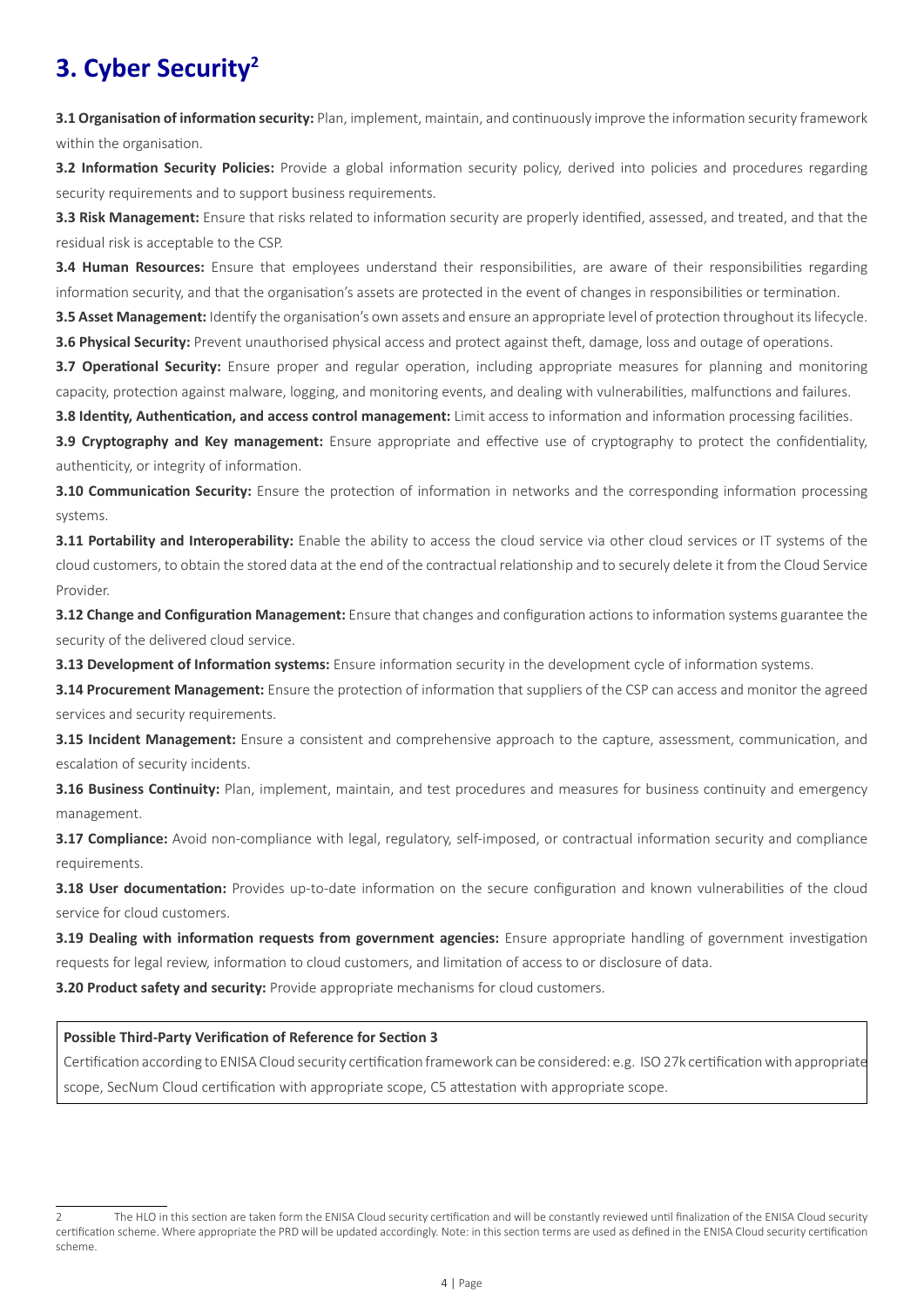### **3. Cyber Security2**

**3.1 Organisation of information security:** Plan, implement, maintain, and continuously improve the information security framework within the organisation.

**3.2 Information Security Policies:** Provide a global information security policy, derived into policies and procedures regarding security requirements and to support business requirements.

**3.3 Risk Management:** Ensure that risks related to information security are properly identified, assessed, and treated, and that the residual risk is acceptable to the CSP.

**3.4 Human Resources:** Ensure that employees understand their responsibilities, are aware of their responsibilities regarding information security, and that the organisation's assets are protected in the event of changes in responsibilities or termination.

**3.5 Asset Management:** Identify the organisation's own assets and ensure an appropriate level of protection throughout its lifecycle. **3.6 Physical Security:** Prevent unauthorised physical access and protect against theft, damage, loss and outage of operations.

**3.7 Operational Security:** Ensure proper and regular operation, including appropriate measures for planning and monitoring capacity, protection against malware, logging, and monitoring events, and dealing with vulnerabilities, malfunctions and failures.

**3.8 Identity, Authentication, and access control management:** Limit access to information and information processing facilities.

**3.9 Cryptography and Key management:** Ensure appropriate and effective use of cryptography to protect the confidentiality, authenticity, or integrity of information.

**3.10 Communication Security:** Ensure the protection of information in networks and the corresponding information processing systems.

**3.11 Portability and Interoperability:** Enable the ability to access the cloud service via other cloud services or IT systems of the cloud customers, to obtain the stored data at the end of the contractual relationship and to securely delete it from the Cloud Service Provider.

**3.12 Change and Configuration Management:** Ensure that changes and configuration actions to information systems guarantee the security of the delivered cloud service.

**3.13 Development of Information systems:** Ensure information security in the development cycle of information systems.

**3.14 Procurement Management:** Ensure the protection of information that suppliers of the CSP can access and monitor the agreed services and security requirements.

**3.15 Incident Management:** Ensure a consistent and comprehensive approach to the capture, assessment, communication, and escalation of security incidents.

**3.16 Business Continuity:** Plan, implement, maintain, and test procedures and measures for business continuity and emergency management.

**3.17 Compliance:** Avoid non-compliance with legal, regulatory, self-imposed, or contractual information security and compliance requirements.

**3.18 User documentation:** Provides up-to-date information on the secure configuration and known vulnerabilities of the cloud service for cloud customers.

**3.19 Dealing with information requests from government agencies:** Ensure appropriate handling of government investigation requests for legal review, information to cloud customers, and limitation of access to or disclosure of data.

**3.20 Product safety and security:** Provide appropriate mechanisms for cloud customers.

#### **Possible Third-Party Verification of Reference for Section 3**

Certification according to ENISA Cloud security certification framework can be considered: e.g. ISO 27k certification with appropriate scope, SecNum Cloud certification with appropriate scope, C5 attestation with appropriate scope.

<sup>2</sup> The HLO in this section are taken form the ENISA Cloud security certification and will be constantly reviewed until finalization of the ENISA Cloud security certification scheme. Where appropriate the PRD will be updated accordingly. Note: in this section terms are used as defined in the ENISA Cloud security certification scheme.